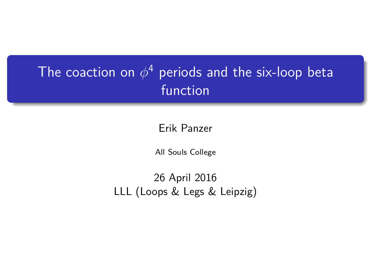## The coaction on  $\phi^4$  periods and the six-loop beta function

Erik Panzer

All Souls College

26 April 2016 LLL (Loops & Legs & Leipzig)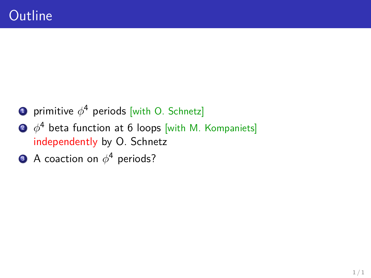- **1** primitive  $\phi^4$  periods [with O. Schnetz]
- $2\;\;\phi^4$  beta function at 6 loops [with M. Kompaniets] independently by O. Schnetz
- $\bullet$  A coaction on  $\phi^4$  periods?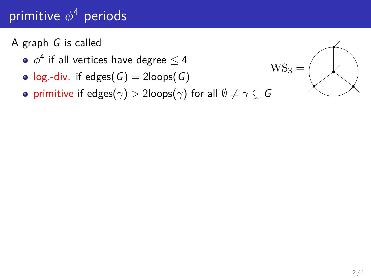# primitive *φ* <sup>4</sup> periods

#### A graph G is called

- $\phi^{\texttt{4}}$  if all vertices have degree  $\leq$  4
- $log.-div.$  if edges(G) = 2loops(G)
- **•** primitive if edges( $\gamma$ ) > 2loops( $\gamma$ ) for all  $\emptyset \neq \gamma \subseteq G$

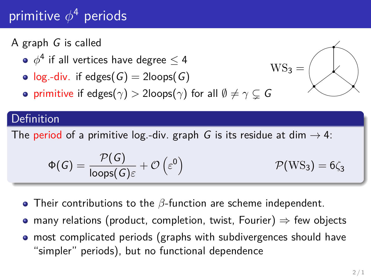# primitive *φ* <sup>4</sup> periods

#### A graph G is called

- $\phi^{\texttt{4}}$  if all vertices have degree  $\leq$  4
- $log.-div.$  if edges(G) = 2loops(G)
- **•** primitive if edges( $\gamma$ ) > 2loops( $\gamma$ ) for all  $\emptyset \neq \gamma \subseteq G$

#### Definition

The period of a primitive log.-div. graph G is its residue at dim  $\rightarrow$  4:

$$
\Phi(G) = \frac{\mathcal{P}(G)}{\text{loops}(G)\varepsilon} + \mathcal{O}\left(\varepsilon^0\right) \qquad \mathcal{P}(WS_3) = 6\zeta_3
$$

- Their contributions to the *β*-function are scheme independent.
- many relations (product, completion, twist, Fourier)  $\Rightarrow$  few objects
- most complicated periods (graphs with subdivergences should have "simpler" periods), but no functional dependence

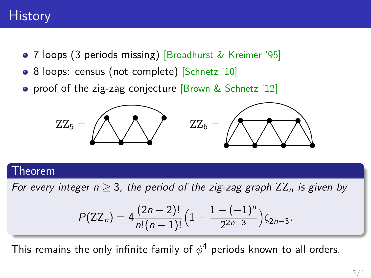#### **History**

- 7 loops (3 periods missing) [Broadhurst & Kreimer '95]
- 8 loops: census (not complete) [Schnetz '10]
- proof of the zig-zag conjecture [Brown & Schnetz '12]



#### Theorem

For every integer  $n > 3$ , the period of the zig-zag graph  $ZZ_n$  is given by

$$
P(ZZ_n) = 4 \frac{(2n-2)!}{n!(n-1)!} \Big( 1 - \frac{1 - (-1)^n}{2^{2n-3}} \Big) \zeta_{2n-3}.
$$

This remains the only infinite family of  $\phi^4$  periods known to all orders.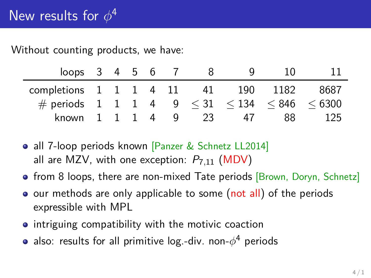#### Without counting products, we have:

| loops $3 \t4 \t5 \t6$                               |              |              |                |   |   |    |     | 10   |        |
|-----------------------------------------------------|--------------|--------------|----------------|---|---|----|-----|------|--------|
| completions $1 \quad 1 \quad 1 \quad 4 \quad 11$    |              |              |                |   |   | 41 | 190 | 1182 | 8687   |
| # periods 1 1 1 4 9 $\leq$ 31 $\leq$ 134 $\leq$ 846 |              |              |                |   |   |    |     |      | < 6300 |
| known                                               | $\mathbf{L}$ | $\mathbf{1}$ | $\overline{1}$ | 4 | q | 23 | 47  | 88   | 125    |

- all 7-loop periods known [Panzer & Schnetz LL2014] all are MZV, with one exception: P7*,*<sup>11</sup> (MDV)
- from 8 loops, there are non-mixed Tate periods [Brown, Doryn, Schnetz]
- o our methods are only applicable to some (not all) of the periods expressible with MPL
- **•** intriguing compatibility with the motivic coaction
- also: results for all primitive log.-div. non-*φ* <sup>4</sup> periods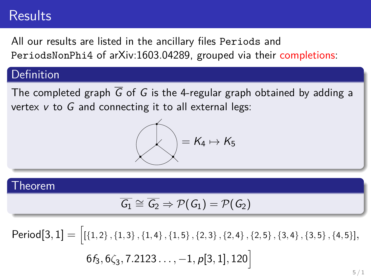#### **Results**

All our results are listed in the ancillary files Periods and PeriodsNonPhi4 of arXiv:1603.04289, grouped via their completions:

#### Definition

The completed graph  $\overline{G}$  of G is the 4-regular graph obtained by adding a vertex  $v$  to  $G$  and connecting it to all external legs:

$$
\bigotimes=K_4\mapsto K_5
$$

#### Theorem

$$
\overline{G_1} \cong \overline{G_2} \Rightarrow \mathcal{P}(\mathit{G_1}) = \mathcal{P}(\mathit{G_2})
$$

 $\mathsf{Period}[3,1]=\big[$   $[\{1,2\},\{1,3\},\{1,4\},\{1,5\},\{2,3\},\{2,4\},\{2,5\},\{3,4\},\{3,5\},\{4,5\}],$  $6f_3, 6\zeta_3, 7.2123\dots, -1, p[3,1], 120\Big]$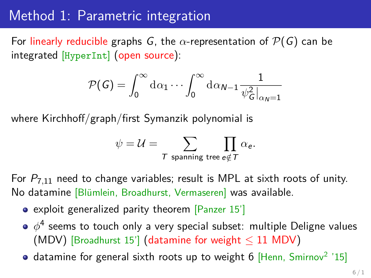#### Method 1: Parametric integration

For linearly reducible graphs G, the  $\alpha$ -representation of  $\mathcal{P}(G)$  can be integrated [HyperInt] (open source):

$$
\mathcal{P}(\mathcal{G}) = \int_0^\infty \mathrm{d}\alpha_1 \cdots \int_0^\infty \mathrm{d}\alpha_{N-1} \frac{1}{\psi_{\mathcal{G}}^2|_{\alpha_N=1}}
$$

where Kirchhoff/graph/first Symanzik polynomial is

$$
\psi = \mathcal{U} = \sum_{\text{$\mathcal{T}$ spanning tree $\mathfrak{e}\notin\mathcal{T}$}} \prod_{\mathbf{0} \in \mathcal{C}} \alpha_{\mathbf{e}}.
$$

For P7*,*<sup>11</sup> need to change variables; result is MPL at sixth roots of unity. No datamine [Blümlein, Broadhurst, Vermaseren] was available.

- exploit generalized parity theorem [Panzer 15']
- $\phi^4$  seems to touch only a very special subset: multiple Deligne values (MDV) [Broadhurst 15'] (datamine for weight  $\leq$  11 MDV)
- datamine for general sixth roots up to weight 6 [Henn, Smirnov<sup>2</sup> '15]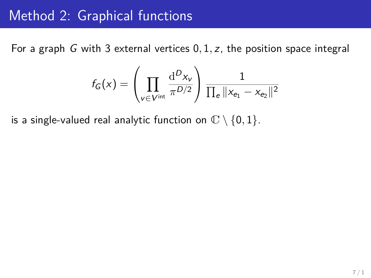#### Method 2: Graphical functions

For a graph G with 3 external vertices 0*,* 1*,* z, the position space integral

$$
f_G(x) = \left(\prod_{v \in V^{\text{int}}} \frac{\mathrm{d}^D x_v}{\pi^{D/2}}\right) \frac{1}{\prod_e ||x_{e_1} - x_{e_2}||^2}
$$

is a single-valued real analytic function on  $\mathbb{C} \setminus \{0, 1\}$ .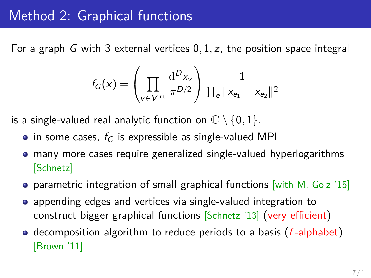#### Method 2: Graphical functions

For a graph G with 3 external vertices 0*,* 1*,* z, the position space integral

$$
f_G(x) = \left(\prod_{v \in V^{\text{int}}} \frac{\mathrm{d}^D x_v}{\pi^{D/2}}\right) \frac{1}{\prod_e ||x_{e_1} - x_{e_2}||^2}
$$

is a single-valued real analytic function on  $\mathbb{C} \setminus \{0, 1\}$ .

- in some cases,  $f_G$  is expressible as single-valued MPL
- many more cases require generalized single-valued hyperlogarithms  $\bullet$ [Schnetz]
- **•** parametric integration of small graphical functions [with M. Golz '15]
- appending edges and vertices via single-valued integration to construct bigger graphical functions [Schnetz '13] (very efficient)
- decomposition algorithm to reduce periods to a basis  $(f$ -alphabet) [Brown '11]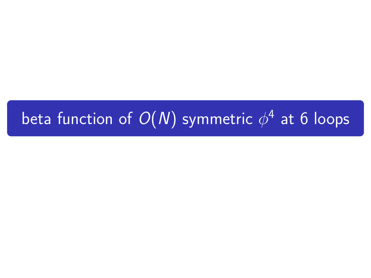# beta function of  $O(N)$  symmetric  $\phi^4$  at 6 loops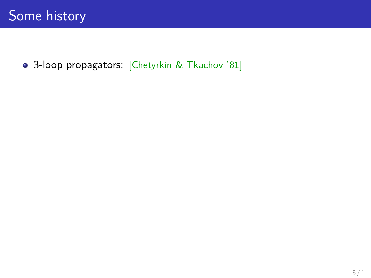3-loop propagators: [Chetyrkin & Tkachov '81]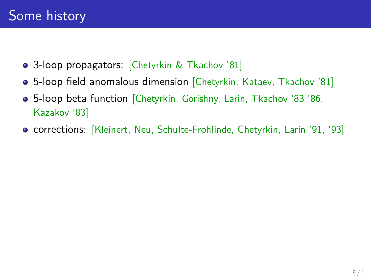- 3-loop propagators: [Chetyrkin & Tkachov '81]
- 5-loop field anomalous dimension [Chetyrkin, Kataev, Tkachov '81]
- 5-loop beta function [Chetyrkin, Gorishny, Larin, Tkachov '83 '86, Kazakov '83]
- corrections: [Kleinert, Neu, Schulte-Frohlinde, Chetyrkin, Larin '91, '93]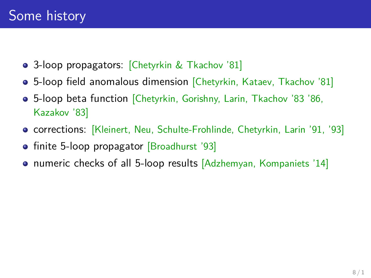- 3-loop propagators: Chetyrkin & Tkachov '81
- 5-loop field anomalous dimension [Chetyrkin, Kataev, Tkachov '81]
- 5-loop beta function [Chetyrkin, Gorishny, Larin, Tkachov '83 '86, Kazakov '83]
- corrections: [Kleinert, Neu, Schulte-Frohlinde, Chetyrkin, Larin '91, '93]
- finite 5-loop propagator [Broadhurst '93]
- numeric checks of all 5-loop results [Adzhemyan, Kompaniets '14]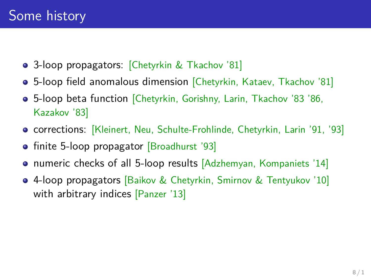- 3-loop propagators: Chetyrkin & Tkachov '81
- 5-loop field anomalous dimension [Chetyrkin, Kataev, Tkachov '81]
- 5-loop beta function [Chetyrkin, Gorishny, Larin, Tkachov '83 '86, Kazakov '83]
- corrections: [Kleinert, Neu, Schulte-Frohlinde, Chetyrkin, Larin '91, '93]
- finite 5-loop propagator [Broadhurst '93]
- numeric checks of all 5-loop results [Adzhemyan, Kompaniets '14]
- 4-loop propagators [Baikov & Chetyrkin, Smirnov & Tentyukov '10] with arbitrary indices [Panzer '13]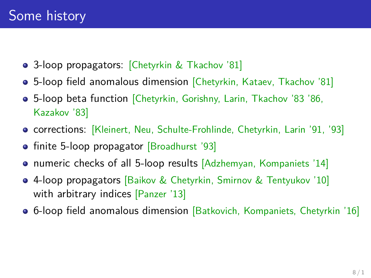- 3-loop propagators: Chetyrkin & Tkachov '81
- 5-loop field anomalous dimension [Chetyrkin, Kataev, Tkachov '81]
- 5-loop beta function [Chetyrkin, Gorishny, Larin, Tkachov '83 '86, Kazakov '83]
- **corrections: [Kleinert, Neu, Schulte-Frohlinde, Chetyrkin, Larin '91, '93]**
- finite 5-loop propagator [Broadhurst '93]
- numeric checks of all 5-loop results [Adzhemyan, Kompaniets '14]
- 4-loop propagators [Baikov & Chetyrkin, Smirnov & Tentyukov '10] with arbitrary indices [Panzer '13]
- 6-loop field anomalous dimension [Batkovich, Kompaniets, Chetyrkin '16]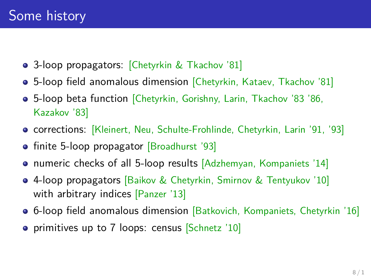- 3-loop propagators: Chetyrkin & Tkachov '81
- 5-loop field anomalous dimension [Chetyrkin, Kataev, Tkachov '81]
- 5-loop beta function [Chetyrkin, Gorishny, Larin, Tkachov '83 '86, Kazakov '83]
- corrections: [Kleinert, Neu, Schulte-Frohlinde, Chetyrkin, Larin '91, '93]
- finite 5-loop propagator [Broadhurst '93]
- numeric checks of all 5-loop results [Adzhemyan, Kompaniets '14]
- 4-loop propagators [Baikov & Chetyrkin, Smirnov & Tentyukov '10] with arbitrary indices [Panzer '13]
- 6-loop field anomalous dimension [Batkovich, Kompaniets, Chetyrkin '16]
- **•** primitives up to 7 loops: census Schnetz '10]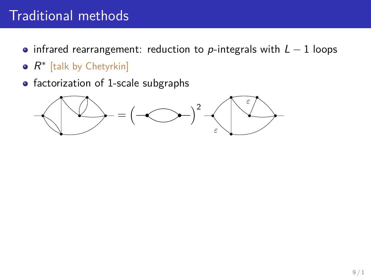- infrared rearrangement: reduction to p-integrals with  $L 1$  loops
- $R^*$  [talk by Chetyrkin]
- factorization of 1-scale subgraphs

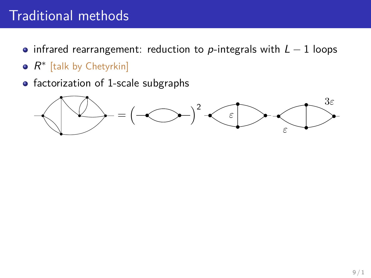- infrared rearrangement: reduction to p-integrals with  $L 1$  loops
- $R^*$  [talk by Chetyrkin]
- factorization of 1-scale subgraphs

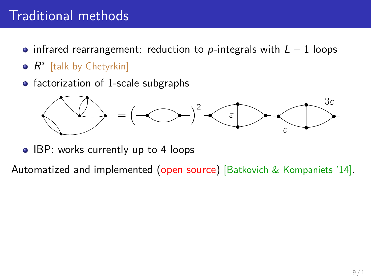- infrared rearrangement: reduction to p-integrals with  $L 1$  loops
- $R^*$  [talk by Chetyrkin]
- $\bullet$  factorization of 1-scale subgraphs



• IBP: works currently up to 4 loops

Automatized and implemented (open source) [Batkovich & Kompaniets '14].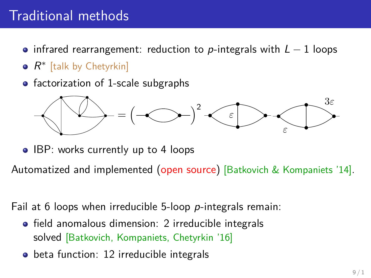- infrared rearrangement: reduction to p-integrals with  $L 1$  loops
- $R^*$  [talk by Chetyrkin]
- factorization of 1-scale subgraphs



• IBP: works currently up to 4 loops

Automatized and implemented (open source) [Batkovich & Kompaniets '14].

Fail at 6 loops when irreducible 5-loop p-integrals remain:

- **•** field anomalous dimension: 2 irreducible integrals solved [Batkovich, Kompaniets, Chetyrkin '16]
- beta function: 12 irreducible integrals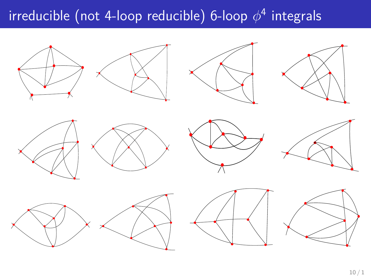## irreducible (not 4-loop reducible) 6-loop *φ* 4 integrals

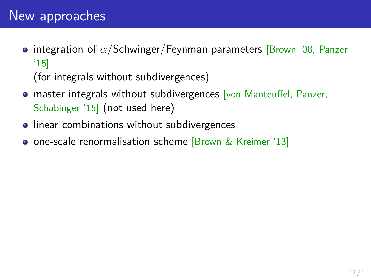## New approaches

**• integration of**  $\alpha$ **/Schwinger/Feynman parameters [Brown '08, Panzer** '15]

(for integrals without subdivergences)

- **o** master integrals without subdivergences [von Manteuffel, Panzer, Schabinger '15] (not used here)
- **•** linear combinations without subdivergences
- **o** one-scale renormalisation scheme [Brown & Kreimer '13]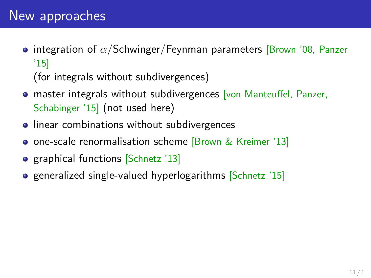**• integration of**  $\alpha$ **/Schwinger/Feynman parameters [Brown '08, Panzer** '15]

(for integrals without subdivergences)

- **o** master integrals without subdivergences [von Manteuffel, Panzer, Schabinger '15] (not used here)
- **•** linear combinations without subdivergences
- **o** one-scale renormalisation scheme [Brown & Kreimer '13]
- graphical functions [Schnetz '13]
- **e** generalized single-valued hyperlogarithms [Schnetz '15]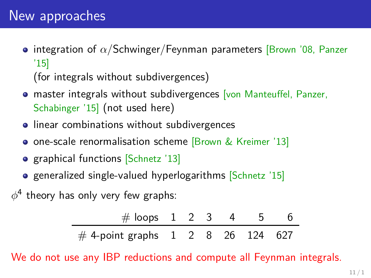**• integration of**  $\alpha$ **/Schwinger/Feynman parameters [Brown '08, Panzer** '15]

(for integrals without subdivergences)

- **o** master integrals without subdivergences [von Manteuffel, Panzer, Schabinger '15] (not used here)
- **•** linear combinations without subdivergences
- **o** one-scale renormalisation scheme [Brown & Kreimer '13]
- graphical functions [Schnetz '13]
- **e** generalized single-valued hyperlogarithms [Schnetz '15]

 $\phi^4$  theory has only very few graphs:

| # loops $1 \t2 \t3 \t4 \t5$                   |  |  |  |
|-----------------------------------------------|--|--|--|
| # 4-point graphs $1 \t2 \t8 \t26 \t124 \t627$ |  |  |  |

We do not use any IBP reductions and compute all Feynman integrals.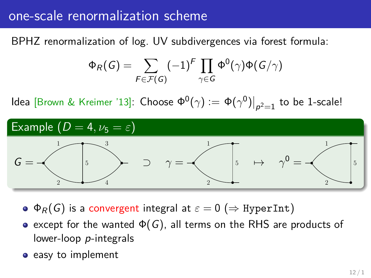#### one-scale renormalization scheme

BPHZ renormalization of log. UV subdivergences via forest formula:

$$
\Phi_R(G) = \sum_{F \in \mathcal{F}(G)} (-1)^F \prod_{\gamma \in G} \Phi^0(\gamma) \Phi(G/\gamma)
$$

ldea [Brown & Kreimer '13]: Choose  $\Phi^0(\gamma):=\left.\Phi(\gamma^0)\right|_{\rho^2=1}$  to be 1-scale!



- $\bullet \Phi_R(G)$  is a convergent integral at  $\varepsilon = 0 \ (\Rightarrow$  HyperInt)
- except for the wanted  $\Phi(G)$ , all terms on the RHS are products of lower-loop p-integrals
- easy to implement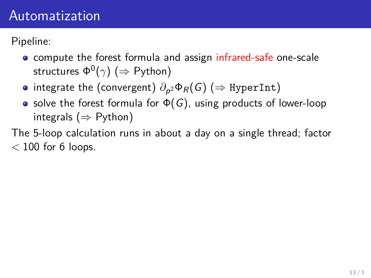#### Automatization

Pipeline:

- **•** compute the forest formula and assign infrared-safe one-scale structures Φ<sup>0</sup> (*γ*) (⇒ Python)
- integrate the (convergent)  $\partial_{\boldsymbol{\rho}^2} \Phi_R(G) \ (\Rightarrow{\rm HyperInt})$
- solve the forest formula for  $\Phi(G)$ , using products of lower-loop integrals ( $\Rightarrow$  Python)

The 5-loop calculation runs in about a day on a single thread; factor *<* 100 for 6 loops.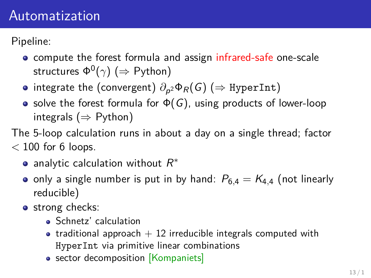#### Automatization

Pipeline:

- **•** compute the forest formula and assign infrared-safe one-scale structures Φ<sup>0</sup> (*γ*) (⇒ Python)
- integrate the (convergent)  $\partial_{\boldsymbol{\rho}^2} \Phi_R(G) \ (\Rightarrow{\rm HyperInt})$
- solve the forest formula for  $\Phi(G)$ , using products of lower-loop integrals ( $\Rightarrow$  Python)
- The 5-loop calculation runs in about a day on a single thread; factor *<* 100 for 6 loops.
	- analytic calculation without  $R^*$
	- only a single number is put in by hand:  $P_{6,4} = K_{4,4}$  (not linearly reducible)
	- **o** strong checks:
		- **Schnetz'** calculation
		- traditional approach  $+$  12 irreducible integrals computed with HyperInt via primitive linear combinations
		- sector decomposition [Kompaniets]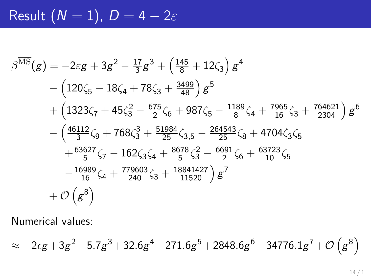Result 
$$
(N = 1)
$$
,  $D = 4 - 2\varepsilon$ 

$$
\beta^{\overline{\text{MS}}}(g) = -2\varepsilon g + 3g^2 - \frac{17}{3}g^3 + \left(\frac{145}{8} + 12\zeta_3\right)g^4
$$
  
– 
$$
\left(120\zeta_5 - 18\zeta_4 + 78\zeta_3 + \frac{3499}{48}\right)g^5
$$
  
+ 
$$
\left(1323\zeta_7 + 45\zeta_3^2 - \frac{675}{2}\zeta_6 + 987\zeta_5 - \frac{1189}{8}\zeta_4 + \frac{7965}{16}\zeta_3 + \frac{764621}{2304}\right)g^6
$$
  
- 
$$
\left(\frac{46112}{3}\zeta_9 + 768\zeta_3^3 + \frac{51984}{25}\zeta_{3,5} - \frac{264543}{25}\zeta_8 + 4704\zeta_3\zeta_5 + \frac{63627}{5}\zeta_7 - 162\zeta_3\zeta_4 + \frac{8678}{5}\zeta_3^2 - \frac{6691}{2}\zeta_6 + \frac{63723}{10}\zeta_5 - \frac{16989}{16}\zeta_4 + \frac{779603}{240}\zeta_3 + \frac{18841427}{11520}\right)g^7
$$
  
+ 
$$
\mathcal{O}\left(g^8\right)
$$

Numerical values:

$$
\approx -2 \epsilon g+3 g^2-5.7 g^3+32.6 g^4-271.6 g^5+2848.6 g^6-34776.1 g^7+{\cal O} \left(g^8\right)
$$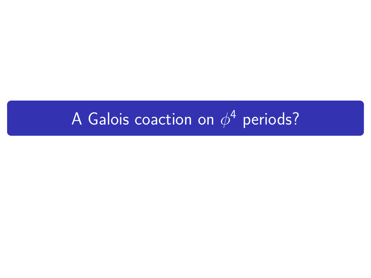# A Galois coaction on  $\phi^4$  periods?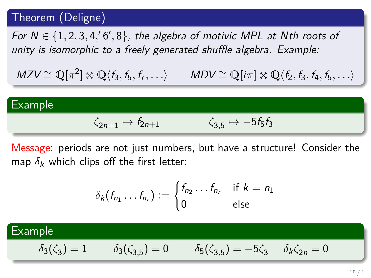#### Theorem (Deligne)

For  $N \in \{1, 2, 3, 4, 6, 8\}$ , the algebra of motivic MPL at Nth roots of unity is isomorphic to a freely generated shuffle algebra. Example:

 $MZV \cong \mathbb{Q}[\pi^2]$  $MDV \cong \mathbb{Q}[i\pi] \otimes \mathbb{Q}\langle f_2, f_3, f_4, f_5, \ldots \rangle$ 



Message: periods are not just numbers, but have a structure! Consider the map  $\delta_k$  which clips off the first letter:

$$
\delta_k(f_{n_1}\dots f_{n_r}) := \begin{cases} f_{n_2}\dots f_{n_r} & \text{if } k = n_1 \\ 0 & \text{else} \end{cases}
$$

#### Example  $\delta$ <sub>3</sub>( $\zeta$ <sub>3</sub>) = 1  $\delta_3(\zeta_{3,5}) = 0$  $\delta_5(\zeta_{3,5}) = -5\zeta_3$   $\delta_k \zeta_{2n} = 0$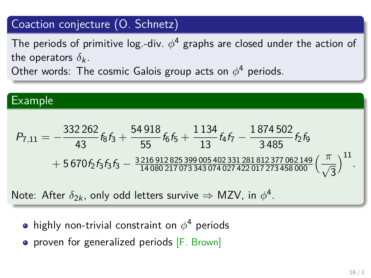#### Coaction conjecture (O. Schnetz)

The periods of primitive log.-div.  $\phi^4$  graphs are closed under the action of the operators  $\delta_k$ .

Other words: The cosmic Galois group acts on *φ* <sup>4</sup> periods.

Example

\n
$$
P_{7,11} = -\frac{332262}{43} f_8 f_3 + \frac{54918}{55} f_6 f_5 + \frac{1134}{13} f_4 f_7 - \frac{1874502}{3485} f_2 f_9
$$
\n
$$
+ 5670 f_2 f_3 f_3 f_3 - \frac{3216912825399005402331281812377062149}{14080217073343074027422017273458000} \left(\frac{\pi}{\sqrt{3}}\right)^{11}.
$$
\nNote: After  $\delta_{2k}$ , only odd letters survive  $\Rightarrow$  MZV, in  $\phi^4$ .

- highly non-trivial constraint on *φ* <sup>4</sup> periods
- proven for generalized periods [F. Brown]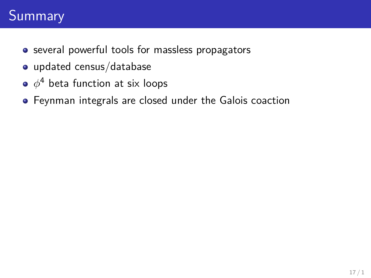## **Summary**

- **•** several powerful tools for massless propagators
- updated census/database
- $\phi^{\texttt{4}}$  beta function at six loops
- Feynman integrals are closed under the Galois coaction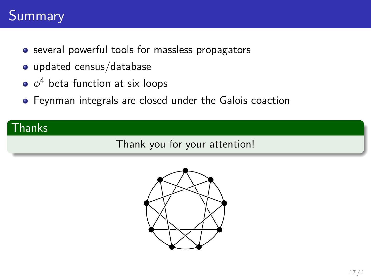## Summary

- **•** several powerful tools for massless propagators
- updated census/database
- $\phi^{\texttt{4}}$  beta function at six loops
- Feynman integrals are closed under the Galois coaction

#### Thanks

Thank you for your attention!